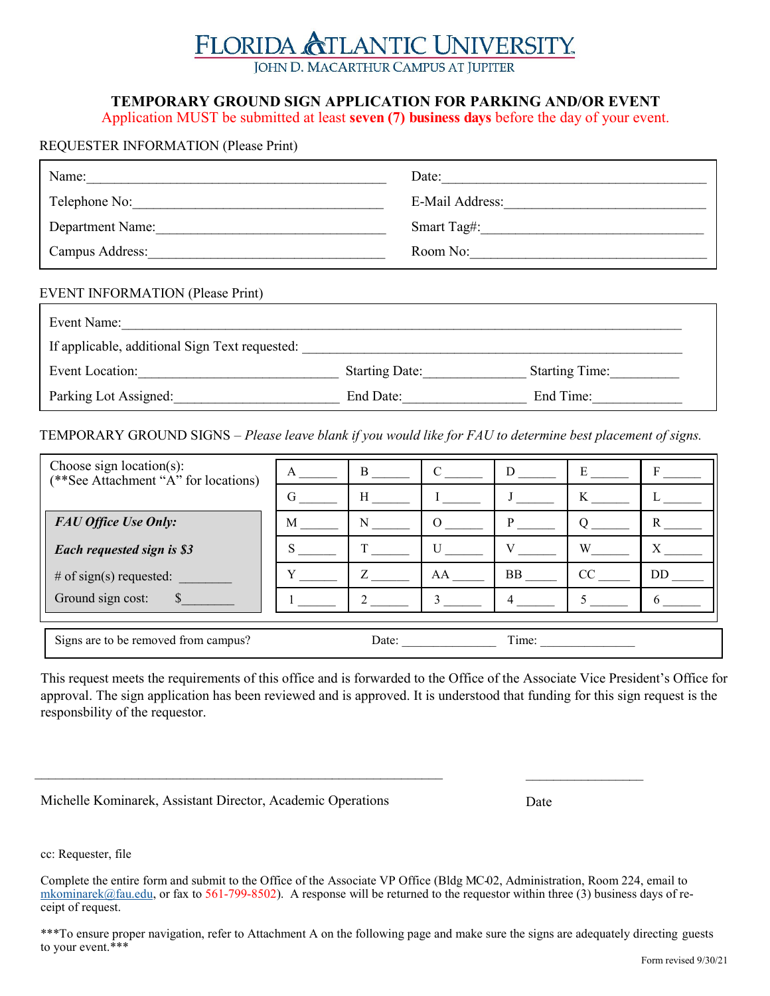## **TLANTIC UNIVERSITY.** FLORIDA & JOHN D. MACARTHUR CAMPUS AT JUPITER

## **TEMPORARY GROUND SIGN APPLICATION FOR PARKING AND/OR EVENT**

Application MUST be submitted at least **seven (7) business days** before the day of your event.

## REQUESTER INFORMATION (Please Print)

| Name:                                          | Date: $\qquad \qquad \qquad$ |
|------------------------------------------------|------------------------------|
|                                                | E-Mail Address:              |
| Department Name:                               | Smart Tag#:                  |
|                                                | Room No:                     |
| <b>EVENT INFORMATION (Please Print)</b>        |                              |
| Event Name:                                    |                              |
| If applicable, additional Sign Text requested: |                              |
|                                                |                              |

Event Location: The Starting Date: Starting Date: Starting Time: Parking Lot Assigned:\_\_\_\_\_\_\_\_\_\_\_\_\_\_\_\_\_\_\_\_\_\_\_\_ End Date:\_\_\_\_\_\_\_\_\_\_\_\_\_\_\_\_\_\_ End Time:\_\_\_\_\_\_\_\_\_\_\_\_\_

TEMPORARY GROUND SIGNS – *Please leave blank if you would like for FAU to determine best placement of signs.*

| Choose sign location(s):<br>(**See Attachment "A" for locations) | A | B     |    | D         | E  | F  |
|------------------------------------------------------------------|---|-------|----|-----------|----|----|
|                                                                  | G | H     |    |           | K  |    |
| <b>FAU Office Use Only:</b>                                      | M | N     |    |           |    |    |
| Each requested sign is \$3                                       |   |       |    |           | W  |    |
| # of sign(s) requested:                                          |   |       | AA | <b>BB</b> | CC | DD |
| Ground sign cost:                                                |   |       |    |           |    |    |
|                                                                  |   |       |    |           |    |    |
| Signs are to be removed from campus?                             |   | Date: |    | Time:     |    |    |

This request meets the requirements of this office and is forwarded to the Office of the Associate Vice President's Office for approval. The sign application has been reviewed and is approved. It is understood that funding for this sign request is the responsbility of the requestor.

| Michelle Kominarek, Assistant Director, Academic Operations | Date |
|-------------------------------------------------------------|------|
|-------------------------------------------------------------|------|

cc: Requester, file

Complete the entire form and submit to the Office of the Associate VP Office (Bldg MC-02, Administration, Room 224, email to mkominarek@fau.edu, or fax to 561-799-8502). A response will be returned to the requestor within three (3) business days of receipt of request.

\_\_\_\_\_\_\_\_\_\_\_\_\_\_\_\_\_\_\_\_\_\_\_\_\_\_\_\_\_\_\_\_\_\_\_\_\_\_\_\_\_\_\_\_\_\_\_\_\_\_\_\_\_\_\_\_\_\_\_ \_\_\_\_\_\_\_\_\_\_\_\_\_\_\_\_\_

\*\*\*To ensure proper navigation, refer to Attachment A on the following page and make sure the signs are adequately directing guests to your event.\*\*\*